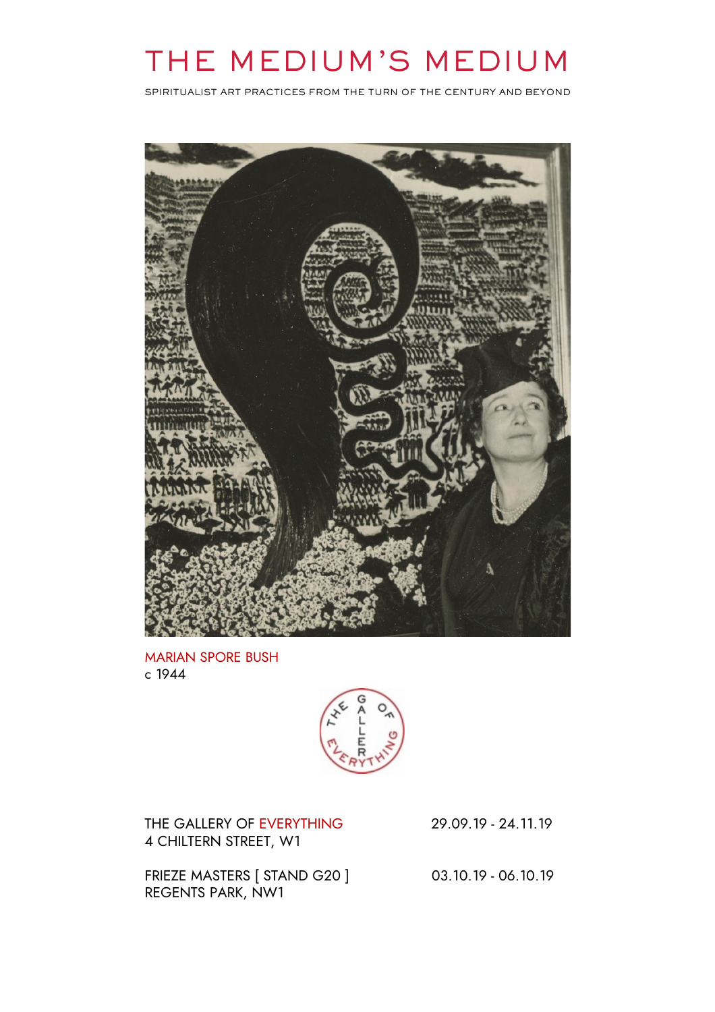# THE MEDIUM'S MEDIUM

SPIRITUALIST ART PRACTICES FROM THE TURN OF THE CENTURY AND BEYOND



MARIAN SPORE BUSH c 1944



THE GALLERY OF EVERYTHING 29.09.19 - 24.11.19 4 CHILTERN STREET, W1

FRIEZE MASTERS [ STAND G20 ] 03.10.19 - 06.10.19 REGENTS PARK, NW1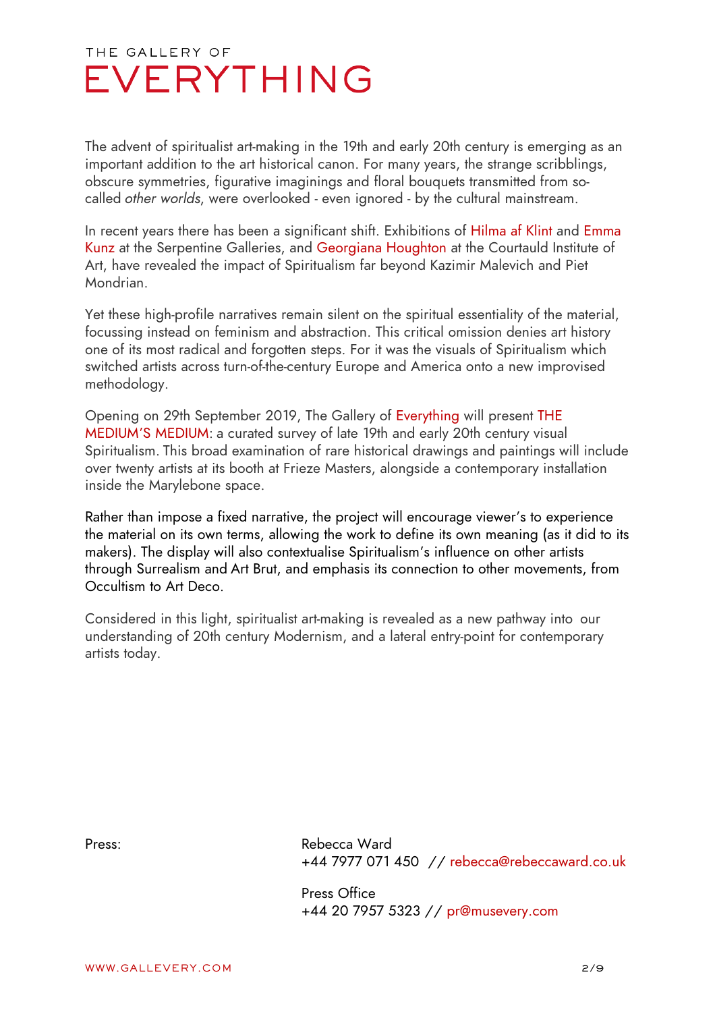The advent of spiritualist art-making in the 19th and early 20th century is emerging as an important addition to the art historical canon. For many years, the strange scribblings, obscure symmetries, figurative imaginings and floral bouquets transmitted from socalled *other worlds*, were overlooked - even ignored - by the cultural mainstream.

In recent years there has been a significant shift. Exhibitions of Hilma af Klint and Emma Kunz at the Serpentine Galleries, and Georgiana Houghton at the Courtauld Institute of Art, have revealed the impact of Spiritualism far beyond Kazimir Malevich and Piet Mondrian.

Yet these high-profile narratives remain silent on the spiritual essentiality of the material, focussing instead on feminism and abstraction. This critical omission denies art history one of its most radical and forgotten steps. For it was the visuals of Spiritualism which switched artists across turn-of-the-century Europe and America onto a new improvised methodology.

Opening on 29th September 2019, The Gallery of Everything will present THE MEDIUM'S MEDIUM: a curated survey of late 19th and early 20th century visual Spiritualism. This broad examination of rare historical drawings and paintings will include over twenty artists at its booth at Frieze Masters, alongside a contemporary installation inside the Marylebone space.

Rather than impose a fixed narrative, the project will encourage viewer's to experience the material on its own terms, allowing the work to define its own meaning (as it did to its makers). The display will also contextualise Spiritualism's influence on other artists through Surrealism and Art Brut, and emphasis its connection to other movements, from Occultism to Art Deco.

Considered in this light, spiritualist art-making is revealed as a new pathway into our understanding of 20th century Modernism, and a lateral entry-point for contemporary artists today.

Press: Rebecca Ward +44 7977 071 450 // rebecca@rebeccaward.co.uk

> Press Office +44 20 7957 5323 // pr@musevery.com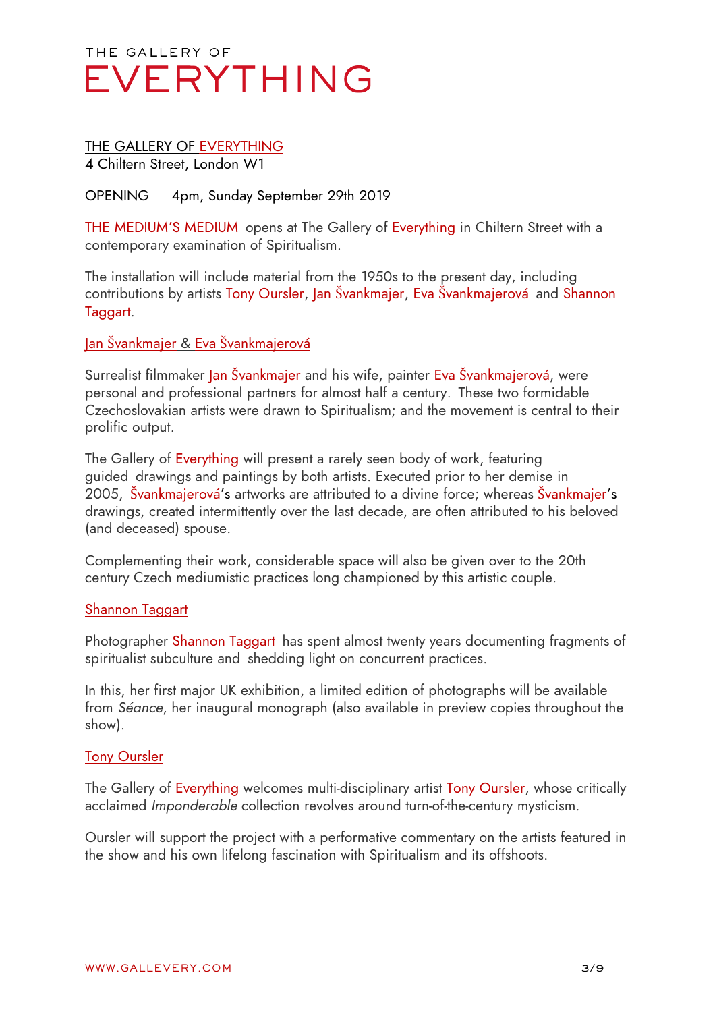### THE GALLERY OF EVERYTHING

4 Chiltern Street, London W1

#### OPENING 4pm, Sunday September 29th 2019

THE MEDIUM'S MEDIUM opens at The Gallery of Everything in Chiltern Street with a contemporary examination of Spiritualism.

The installation will include material from the 1950s to the present day, including contributions by artists Tony Oursler, Jan Švankmajer, Eva Švankmajerová and Shannon Taggart.

#### Jan Švankmajer & Eva Švankmajerová

Surrealist filmmaker Jan Švankmajer and his wife, painter Eva Švankmajerová, were personal and professional partners for almost half a century. These two formidable Czechoslovakian artists were drawn to Spiritualism; and the movement is central to their prolific output.

The Gallery of Everything will present a rarely seen body of work, featuring guided drawings and paintings by both artists. Executed prior to her demise in 2005, Švankmajerová's artworks are attributed to a divine force; whereas Švankmajer's drawings, created intermittently over the last decade, are often attributed to his beloved (and deceased) spouse.

Complementing their work, considerable space will also be given over to the 20th century Czech mediumistic practices long championed by this artistic couple.

#### Shannon Taggart

Photographer Shannon Taggart has spent almost twenty years documenting fragments of spiritualist subculture and shedding light on concurrent practices.

In this, her first major UK exhibition, a limited edition of photographs will be available from *Séance*, her inaugural monograph (also available in preview copies throughout the show).

#### Tony Oursler

The Gallery of Everything welcomes multi-disciplinary artist Tony Oursler, whose critically acclaimed *Imponderable* collection revolves around turn-of-the-century mysticism.

Oursler will support the project with a performative commentary on the artists featured in the show and his own lifelong fascination with Spiritualism and its offshoots.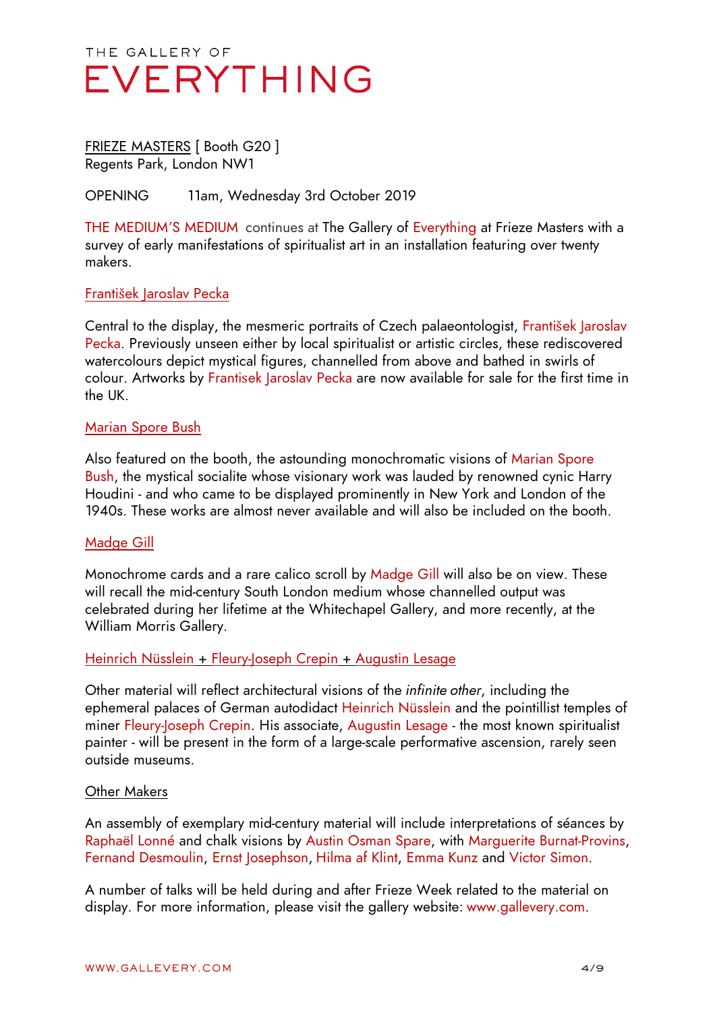#### FRIEZE MASTERS [ Booth G20 ] Regents Park, London NW1

#### OPENING 11am, Wednesday 3rd October 2019

THE MEDIUM'S MEDIUM continues at The Gallery of Everything at Frieze Masters with a survey of early manifestations of spiritualist art in an installation featuring over twenty makers.

#### František Jaroslav Pecka

Central to the display, the mesmeric portraits of Czech palaeontologist, František Jaroslav Pecka. Previously unseen either by local spiritualist or artistic circles, these rediscovered watercolours depict mystical figures, channelled from above and bathed in swirls of colour. Artworks by Frantisek Jaroslav Pecka are now available for sale for the first time in the UK.

#### Marian Spore Bush

Also featured on the booth, the astounding monochromatic visions of Marian Spore Bush, the mystical socialite whose visionary work was lauded by renowned cynic Harry Houdini - and who came to be displayed prominently in New York and London of the 1940s. These works are almost never available and will also be included on the booth.

#### Madge Gill

Monochrome cards and a rare calico scroll by Madge Gill will also be on view. These will recall the mid-century South London medium whose channelled output was celebrated during her lifetime at the Whitechapel Gallery, and more recently, at the William Morris Gallery.

#### Heinrich Nüsslein + Fleury-Joseph Crepin + Augustin Lesage

Other material will reflect architectural visions of the *infinite other*, including the ephemeral palaces of German autodidact Heinrich Nüsslein and the pointillist temples of miner Fleury-Joseph Crepin. His associate, Augustin Lesage - the most known spiritualist painter - will be present in the form of a large-scale performative ascension, rarely seen outside museums.

#### Other Makers

An assembly of exemplary mid-century material will include interpretations of séances by Raphaël Lonné and chalk visions by Austin Osman Spare, with Marguerite Burnat-Provins, Fernand Desmoulin, Ernst Josephson, Hilma af Klint, Emma Kunz and Victor Simon.

A number of talks will be held during and after Frieze Week related to the material on display. For more information, please visit the gallery website: www.gallevery.com.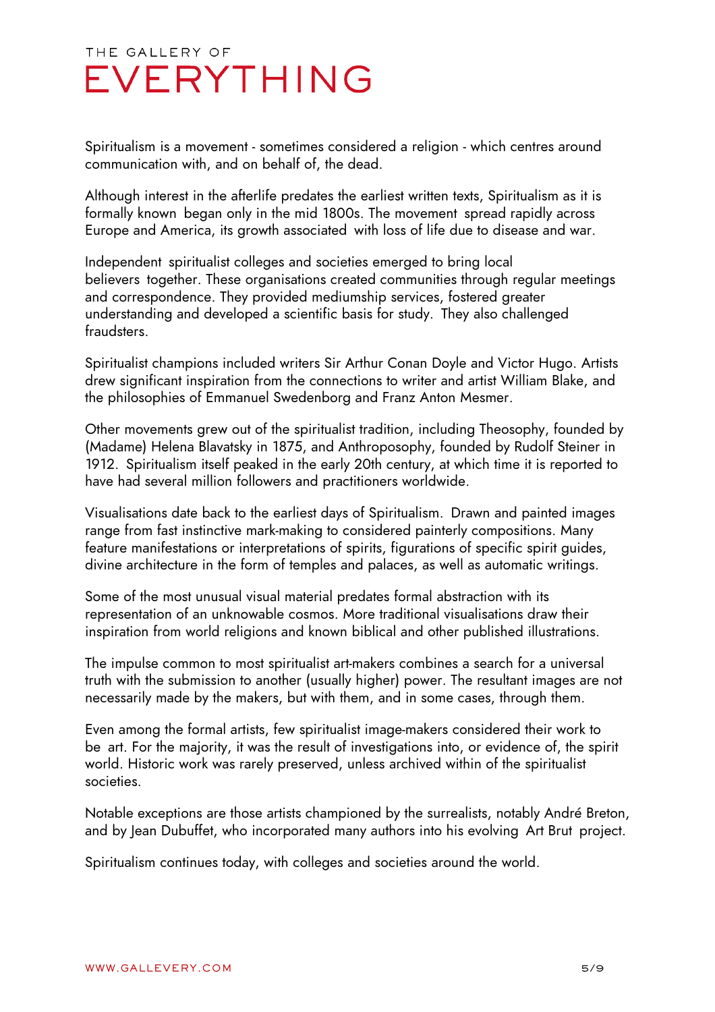Spiritualism is a movement - sometimes considered a religion - which centres around communication with, and on behalf of, the dead.

Although interest in the afterlife predates the earliest written texts, Spiritualism as it is formally known began only in the mid 1800s. The movement spread rapidly across Europe and America, its growth associated with loss of life due to disease and war.

Independent spiritualist colleges and societies emerged to bring local believers together. These organisations created communities through regular meetings and correspondence. They provided mediumship services, fostered greater understanding and developed a scientific basis for study. They also challenged fraudsters.

Spiritualist champions included writers Sir Arthur Conan Doyle and Victor Hugo. Artists drew significant inspiration from the connections to writer and artist William Blake, and the philosophies of Emmanuel Swedenborg and Franz Anton Mesmer.

Other movements grew out of the spiritualist tradition, including Theosophy, founded by (Madame) Helena Blavatsky in 1875, and Anthroposophy, founded by Rudolf Steiner in 1912. Spiritualism itself peaked in the early 20th century, at which time it is reported to have had several million followers and practitioners worldwide.

Visualisations date back to the earliest days of Spiritualism. Drawn and painted images range from fast instinctive mark-making to considered painterly compositions. Many feature manifestations or interpretations of spirits, figurations of specific spirit guides, divine architecture in the form of temples and palaces, as well as automatic writings.

Some of the most unusual visual material predates formal abstraction with its representation of an unknowable cosmos. More traditional visualisations draw their inspiration from world religions and known biblical and other published illustrations.

The impulse common to most spiritualist art-makers combines a search for a universal truth with the submission to another (usually higher) power. The resultant images are not necessarily made by the makers, but with them, and in some cases, through them.

Even among the formal artists, few spiritualist image-makers considered their work to be art. For the majority, it was the result of investigations into, or evidence of, the spirit world. Historic work was rarely preserved, unless archived within of the spiritualist societies.

Notable exceptions are those artists championed by the surrealists, notably André Breton, and by Jean Dubuffet, who incorporated many authors into his evolving Art Brut project.

Spiritualism continues today, with colleges and societies around the world.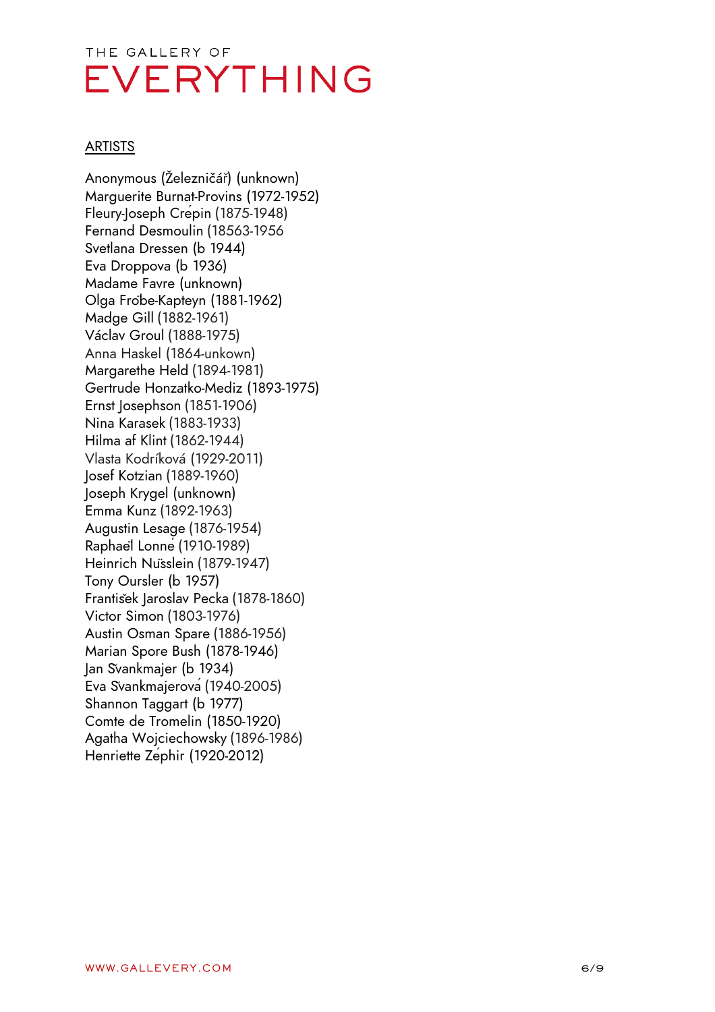#### **ARTISTS**

Anonymous (Železničář) (unknown) Marguerite Burnat -Provins (1972 -1952) Fleury -Joseph Cr épin (1875 -1948) Fernand Desmoulin (18563 -1956 Svetlana Dressen ( b 1944) Eva Droppova (b 1936) Madame Favre ( unk nown) Olga Fr öbe -Kapteyn (1881 -1962) Madge Gill (1882 -1961) V áclav Groul (1888 -1975) Anna Haskel (1864 -unkown) Margarethe Held (1894 -1981) Gertrude Honzatko -Mediz (1893 -1975) Ernst Josephson (1851 -1906) Nina Karasek (1883 -1933) Hilma af Klint (1862 -1944) Vlasta Kodríková (1929 -2011) Josef Kotzian (1889 -1960) Joseph Krygel (unknown) Emma Kunz (1892 -1963) Augustin Lesage (1876 -1954) Rapha ël Lonn é(1910 -1989) Heinrich N üsslein (1879 -1947) Tony Oursler ( b 1957) Franti šek Jaroslav Pecka (1878 -1860) Victor Simon (1803 -1976) Austin Osman Spare (1886 -1956) Marian Spore Bush (1878 -1946) Jan Švankmajer ( b 1934) Eva Švankmajerov á(1940 -2005) Shannon Taggart ( b 1977) Comte de Tromelin (1850 -1920) Agatha Wojciechowsky (1896 -1986) Henriette Z éphir (1920 -2012)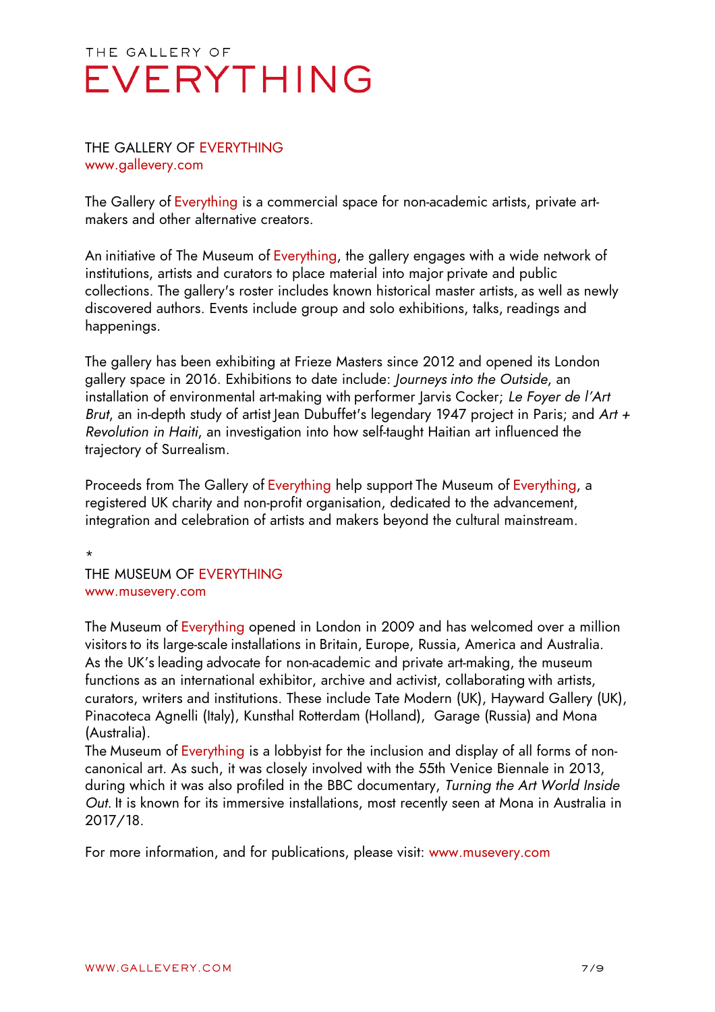#### THE GALLERY OF EVERYTHING www.gallevery.com

The Gallery of Everything is a commercial space for non-academic artists, private artmakers and other alternative creators.

An initiative of The Museum of Everything, the gallery engages with a wide network of institutions, artists and curators to place material into major private and public collections. The gallery's roster includes known historical master artists, as well as newly discovered authors. Events include group and solo exhibitions, talks, readings and happenings.

The gallery has been exhibiting at Frieze Masters since 2012 and opened its London gallery space in 2016. Exhibitions to date include: *Journeys into the Outside*, an installation of environmental art-making with performer Jarvis Cocker; *Le Foyer de l'Art Brut*, an in-depth study of artist Jean Dubuffet's legendary 1947 project in Paris; and *Art + Revolution in Haiti*, an investigation into how self-taught Haitian art influenced the trajectory of Surrealism.

Proceeds from The Gallery of Everything help support The Museum of Everything, a registered UK charity and non-profit organisation, dedicated to the advancement, integration and celebration of artists and makers beyond the cultural mainstream.

THE MUSEUM OF EVERYTHING www.musevery.com

\*

The Museum of Everything opened in London in 2009 and has welcomed over a million visitors to its large-scale installations in Britain, Europe, Russia, America and Australia. As the UK's leading advocate for non-academic and private art-making, the museum functions as an international exhibitor, archive and activist, collaborating with artists, curators, writers and institutions. These include Tate Modern (UK), Hayward Gallery (UK), Pinacoteca Agnelli (Italy), Kunsthal Rotterdam (Holland), Garage (Russia) and Mona (Australia).

The Museum of Everything is a lobbyist for the inclusion and display of all forms of noncanonical art. As such, it was closely involved with the 55th Venice Biennale in 2013, during which it was also profiled in the BBC documentary, *Turning the Art World Inside Out*. It is known for its immersive installations, most recently seen at Mona in Australia in 2017/18.

For more information, and for publications, please visit: www.musevery.com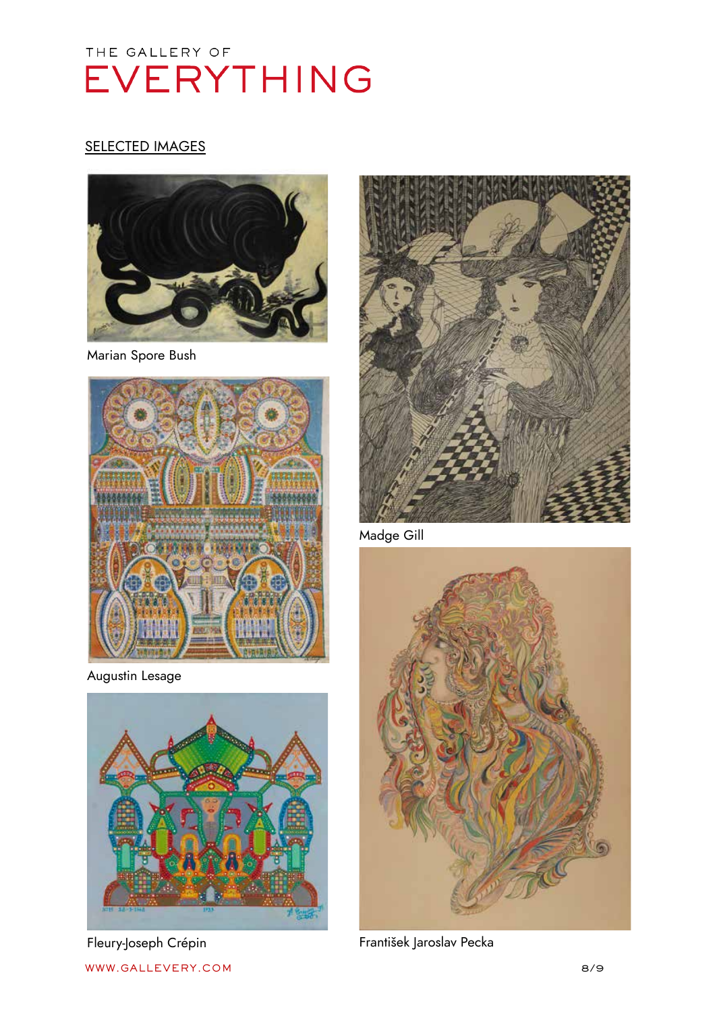#### **SELECTED IMAGES**



Marian Spore Bush



Augustin Lesage



Fleury-Joseph Crépin



Madge Gill



František Jaroslav Pecka

WWW.GALLEVERY.COM 8/9